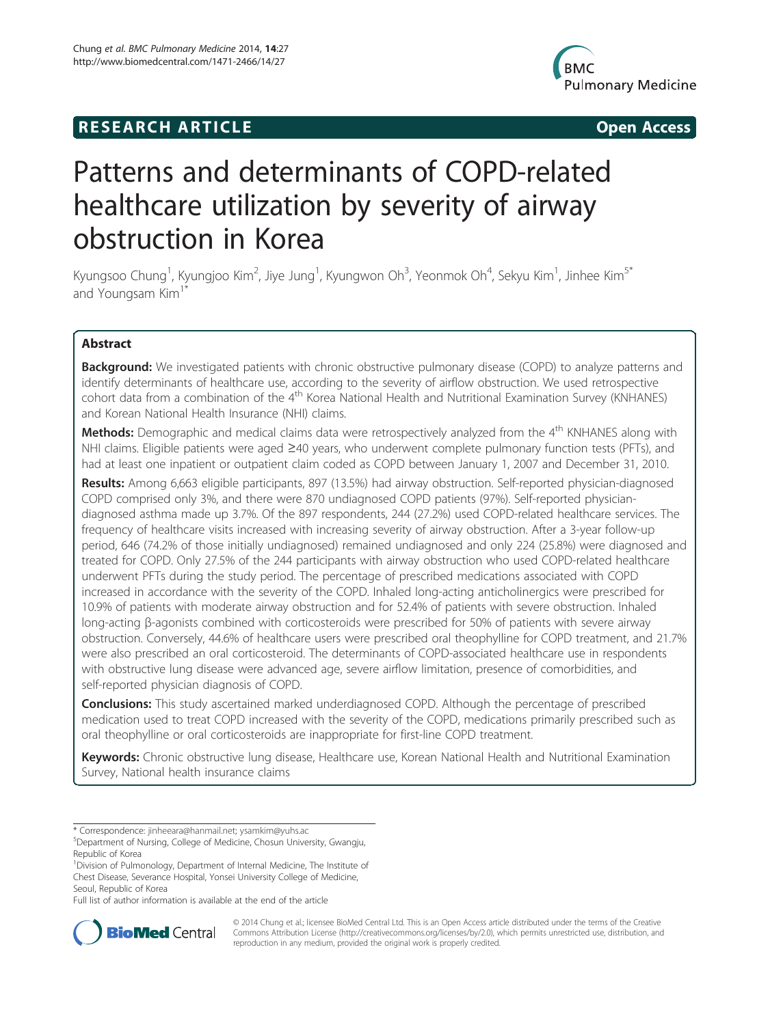## **RESEARCH ARTICLE Example 2014 12:30 The SEAR CHA RESEARCH ARTICLE**



# Patterns and determinants of COPD-related healthcare utilization by severity of airway obstruction in Korea

Kyungsoo Chung<sup>1</sup>, Kyungjoo Kim<sup>2</sup>, Jiye Jung<sup>1</sup>, Kyungwon Oh<sup>3</sup>, Yeonmok Oh<sup>4</sup>, Sekyu Kim<sup>1</sup>, Jinhee Kim<sup>5\*</sup> and Youngsam Kim<sup>1\*</sup>

## Abstract

**Background:** We investigated patients with chronic obstructive pulmonary disease (COPD) to analyze patterns and identify determinants of healthcare use, according to the severity of airflow obstruction. We used retrospective cohort data from a combination of the 4<sup>th</sup> Korea National Health and Nutritional Examination Survey (KNHANES) and Korean National Health Insurance (NHI) claims.

**Methods:** Demographic and medical claims data were retrospectively analyzed from the 4<sup>th</sup> KNHANES along with NHI claims. Eligible patients were aged ≥40 years, who underwent complete pulmonary function tests (PFTs), and had at least one inpatient or outpatient claim coded as COPD between January 1, 2007 and December 31, 2010.

Results: Among 6,663 eligible participants, 897 (13.5%) had airway obstruction. Self-reported physician-diagnosed COPD comprised only 3%, and there were 870 undiagnosed COPD patients (97%). Self-reported physiciandiagnosed asthma made up 3.7%. Of the 897 respondents, 244 (27.2%) used COPD-related healthcare services. The frequency of healthcare visits increased with increasing severity of airway obstruction. After a 3-year follow-up period, 646 (74.2% of those initially undiagnosed) remained undiagnosed and only 224 (25.8%) were diagnosed and treated for COPD. Only 27.5% of the 244 participants with airway obstruction who used COPD-related healthcare underwent PFTs during the study period. The percentage of prescribed medications associated with COPD increased in accordance with the severity of the COPD. Inhaled long-acting anticholinergics were prescribed for 10.9% of patients with moderate airway obstruction and for 52.4% of patients with severe obstruction. Inhaled long-acting β-agonists combined with corticosteroids were prescribed for 50% of patients with severe airway obstruction. Conversely, 44.6% of healthcare users were prescribed oral theophylline for COPD treatment, and 21.7% were also prescribed an oral corticosteroid. The determinants of COPD-associated healthcare use in respondents with obstructive lung disease were advanced age, severe airflow limitation, presence of comorbidities, and self-reported physician diagnosis of COPD.

**Conclusions:** This study ascertained marked underdiagnosed COPD. Although the percentage of prescribed medication used to treat COPD increased with the severity of the COPD, medications primarily prescribed such as oral theophylline or oral corticosteroids are inappropriate for first-line COPD treatment.

Keywords: Chronic obstructive lung disease, Healthcare use, Korean National Health and Nutritional Examination Survey, National health insurance claims

<sup>1</sup>Division of Pulmonology, Department of Internal Medicine, The Institute of Chest Disease, Severance Hospital, Yonsei University College of Medicine, Seoul, Republic of Korea

Full list of author information is available at the end of the article



© 2014 Chung et al.; licensee BioMed Central Ltd. This is an Open Access article distributed under the terms of the Creative Commons Attribution License [\(http://creativecommons.org/licenses/by/2.0\)](http://creativecommons.org/licenses/by/2.0), which permits unrestricted use, distribution, and reproduction in any medium, provided the original work is properly credited.

<sup>\*</sup> Correspondence: [jinheeara@hanmail.net](mailto:jinheeara@hanmail.net); [ysamkim@yuhs.ac](mailto:ysamkim@yuhs.ac) <sup>5</sup>

Department of Nursing, College of Medicine, Chosun University, Gwangju, Republic of Korea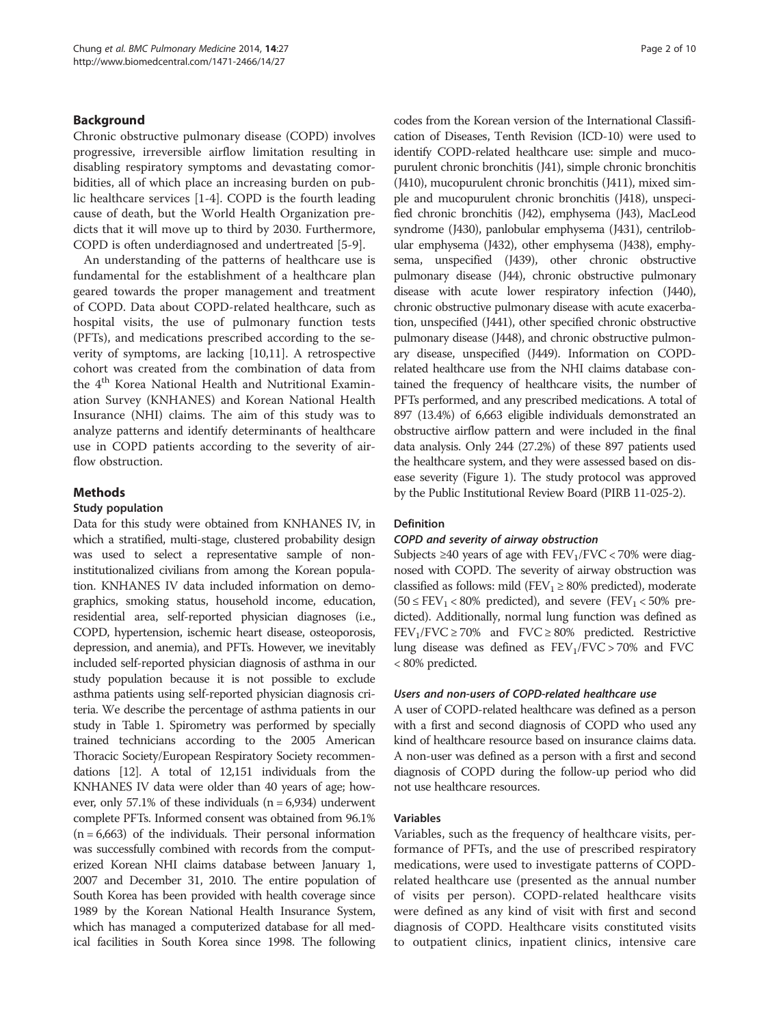## Background

Chronic obstructive pulmonary disease (COPD) involves progressive, irreversible airflow limitation resulting in disabling respiratory symptoms and devastating comorbidities, all of which place an increasing burden on public healthcare services [[1-4\]](#page-8-0). COPD is the fourth leading cause of death, but the World Health Organization predicts that it will move up to third by 2030. Furthermore, COPD is often underdiagnosed and undertreated [\[5](#page-8-0)-[9\]](#page-8-0).

An understanding of the patterns of healthcare use is fundamental for the establishment of a healthcare plan geared towards the proper management and treatment of COPD. Data about COPD-related healthcare, such as hospital visits, the use of pulmonary function tests (PFTs), and medications prescribed according to the severity of symptoms, are lacking [[10,11\]](#page-8-0). A retrospective cohort was created from the combination of data from the 4<sup>th</sup> Korea National Health and Nutritional Examination Survey (KNHANES) and Korean National Health Insurance (NHI) claims. The aim of this study was to analyze patterns and identify determinants of healthcare use in COPD patients according to the severity of airflow obstruction.

## Methods

#### Study population

Data for this study were obtained from KNHANES IV, in which a stratified, multi-stage, clustered probability design was used to select a representative sample of noninstitutionalized civilians from among the Korean population. KNHANES IV data included information on demographics, smoking status, household income, education, residential area, self-reported physician diagnoses (i.e., COPD, hypertension, ischemic heart disease, osteoporosis, depression, and anemia), and PFTs. However, we inevitably included self-reported physician diagnosis of asthma in our study population because it is not possible to exclude asthma patients using self-reported physician diagnosis criteria. We describe the percentage of asthma patients in our study in Table [1.](#page-2-0) Spirometry was performed by specially trained technicians according to the 2005 American Thoracic Society/European Respiratory Society recommendations [\[12\]](#page-8-0). A total of 12,151 individuals from the KNHANES IV data were older than 40 years of age; however, only 57.1% of these individuals  $(n = 6.934)$  underwent complete PFTs. Informed consent was obtained from 96.1%  $(n = 6,663)$  of the individuals. Their personal information was successfully combined with records from the computerized Korean NHI claims database between January 1, 2007 and December 31, 2010. The entire population of South Korea has been provided with health coverage since 1989 by the Korean National Health Insurance System, which has managed a computerized database for all medical facilities in South Korea since 1998. The following codes from the Korean version of the International Classification of Diseases, Tenth Revision (ICD-10) were used to identify COPD-related healthcare use: simple and mucopurulent chronic bronchitis (J41), simple chronic bronchitis (J410), mucopurulent chronic bronchitis (J411), mixed simple and mucopurulent chronic bronchitis (J418), unspecified chronic bronchitis (J42), emphysema (J43), MacLeod syndrome (J430), panlobular emphysema (J431), centrilobular emphysema (J432), other emphysema (J438), emphysema, unspecified (J439), other chronic obstructive pulmonary disease (J44), chronic obstructive pulmonary disease with acute lower respiratory infection (J440), chronic obstructive pulmonary disease with acute exacerbation, unspecified (J441), other specified chronic obstructive pulmonary disease (J448), and chronic obstructive pulmonary disease, unspecified (J449). Information on COPDrelated healthcare use from the NHI claims database contained the frequency of healthcare visits, the number of PFTs performed, and any prescribed medications. A total of 897 (13.4%) of 6,663 eligible individuals demonstrated an obstructive airflow pattern and were included in the final data analysis. Only 244 (27.2%) of these 897 patients used the healthcare system, and they were assessed based on disease severity (Figure [1](#page-3-0)). The study protocol was approved by the Public Institutional Review Board (PIRB 11-025-2).

## Definition

## COPD and severity of airway obstruction

Subjects ≥40 years of age with  $FEV<sub>1</sub>/FVC < 70%$  were diagnosed with COPD. The severity of airway obstruction was classified as follows: mild (FEV<sub>1</sub>  $\geq$  80% predicted), moderate  $(50 \leq FEV_1 < 80\% \text{ predicted})$ , and severe  $(FEV_1 < 50\% \text{ pre-}$ dicted). Additionally, normal lung function was defined as  $FEV_1/FVC \ge 70\%$  and  $FVC \ge 80\%$  predicted. Restrictive lung disease was defined as  $FEV<sub>1</sub>/FVC > 70%$  and  $FVC$ < 80% predicted.

## Users and non-users of COPD-related healthcare use

A user of COPD-related healthcare was defined as a person with a first and second diagnosis of COPD who used any kind of healthcare resource based on insurance claims data. A non-user was defined as a person with a first and second diagnosis of COPD during the follow-up period who did not use healthcare resources.

## Variables

Variables, such as the frequency of healthcare visits, performance of PFTs, and the use of prescribed respiratory medications, were used to investigate patterns of COPDrelated healthcare use (presented as the annual number of visits per person). COPD-related healthcare visits were defined as any kind of visit with first and second diagnosis of COPD. Healthcare visits constituted visits to outpatient clinics, inpatient clinics, intensive care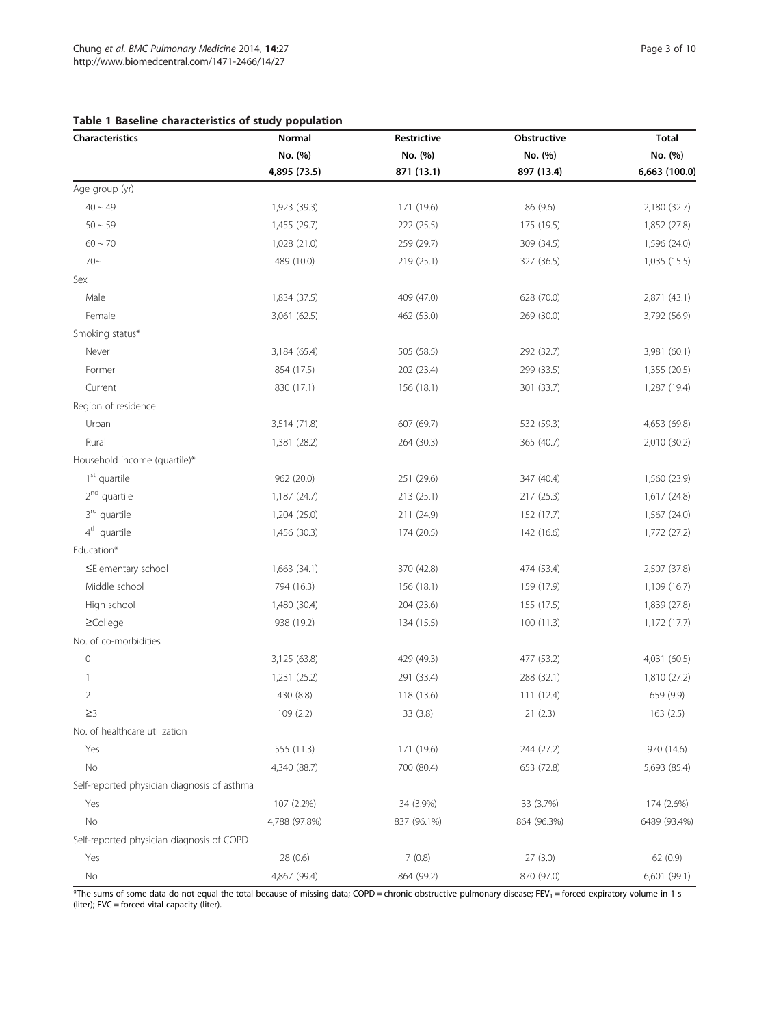| Characteristics                             | Normal        | Restrictive | Obstructive | <b>Total</b><br>No. (%) |  |
|---------------------------------------------|---------------|-------------|-------------|-------------------------|--|
|                                             | No. (%)       | No. (%)     | No. (%)     |                         |  |
|                                             | 4,895 (73.5)  | 871 (13.1)  | 897 (13.4)  | 6,663 (100.0)           |  |
| Age group (yr)                              |               |             |             |                         |  |
| $40 - 49$                                   | 1,923 (39.3)  | 171 (19.6)  | 86 (9.6)    | 2,180 (32.7)            |  |
| $50 - 59$                                   | 1,455 (29.7)  | 222 (25.5)  | 175 (19.5)  | 1,852 (27.8)            |  |
| $60 - 70$                                   | 1,028 (21.0)  | 259 (29.7)  | 309 (34.5)  | 1,596 (24.0)            |  |
| $70-$                                       | 489 (10.0)    | 219 (25.1)  | 327 (36.5)  | 1,035 (15.5)            |  |
| Sex                                         |               |             |             |                         |  |
| Male                                        | 1,834 (37.5)  | 409 (47.0)  | 628 (70.0)  | 2,871 (43.1)            |  |
| Female                                      | 3,061 (62.5)  | 462 (53.0)  | 269 (30.0)  | 3,792 (56.9)            |  |
| Smoking status*                             |               |             |             |                         |  |
| Never                                       | 3,184 (65.4)  | 505 (58.5)  | 292 (32.7)  | 3,981 (60.1)            |  |
| Former                                      | 854 (17.5)    | 202 (23.4)  | 299 (33.5)  | 1,355 (20.5)            |  |
| Current                                     | 830 (17.1)    | 156 (18.1)  | 301 (33.7)  | 1,287 (19.4)            |  |
| Region of residence                         |               |             |             |                         |  |
| Urban                                       | 3,514 (71.8)  | 607 (69.7)  | 532 (59.3)  | 4,653 (69.8)            |  |
| Rural                                       | 1,381 (28.2)  | 264 (30.3)  | 365 (40.7)  | 2,010 (30.2)            |  |
| Household income (quartile)*                |               |             |             |                         |  |
| 1 <sup>st</sup> quartile                    | 962 (20.0)    | 251 (29.6)  | 347 (40.4)  | 1,560 (23.9)            |  |
| 2 <sup>nd</sup> quartile                    | 1,187 (24.7)  | 213 (25.1)  | 217 (25.3)  | 1,617 (24.8)            |  |
| 3rd quartile                                | 1,204 (25.0)  | 211 (24.9)  | 152 (17.7)  | 1,567 (24.0)            |  |
| $4th$ quartile                              | 1,456 (30.3)  | 174 (20.5)  | 142 (16.6)  | 1,772 (27.2)            |  |
| Education*                                  |               |             |             |                         |  |
| ≤Elementary school                          | 1,663 (34.1)  | 370 (42.8)  | 474 (53.4)  | 2,507 (37.8)            |  |
| Middle school                               | 794 (16.3)    | 156 (18.1)  | 159 (17.9)  | 1,109 (16.7)            |  |
| High school                                 | 1,480 (30.4)  | 204 (23.6)  | 155 (17.5)  | 1,839 (27.8)            |  |
| ≥College                                    | 938 (19.2)    | 134 (15.5)  | 100 (11.3)  | 1,172 (17.7)            |  |
| No. of co-morbidities                       |               |             |             |                         |  |
| $\mathbf 0$                                 | 3,125 (63.8)  | 429 (49.3)  | 477 (53.2)  | 4,031 (60.5)            |  |
| -1                                          | 1,231 (25.2)  | 291 (33.4)  | 288 (32.1)  | 1,810 (27.2)            |  |
| $\overline{2}$                              | 430 (8.8)     | 118 (13.6)  | 111 (12.4)  | 659 (9.9)               |  |
| ≥3                                          | 109 (2.2)     | 33 (3.8)    | 21(2.3)     | 163(2.5)                |  |
| No. of healthcare utilization               |               |             |             |                         |  |
| Yes                                         | 555 (11.3)    | 171 (19.6)  | 244 (27.2)  | 970 (14.6)              |  |
| No                                          | 4,340 (88.7)  | 700 (80.4)  | 653 (72.8)  | 5,693 (85.4)            |  |
| Self-reported physician diagnosis of asthma |               |             |             |                         |  |
| Yes                                         | 107 (2.2%)    | 34 (3.9%)   | 33 (3.7%)   | 174 (2.6%)              |  |
| No                                          | 4,788 (97.8%) | 837 (96.1%) | 864 (96.3%) | 6489 (93.4%)            |  |
| Self-reported physician diagnosis of COPD   |               |             |             |                         |  |
| Yes                                         | 28 (0.6)      | 7(0.8)      | 27(3.0)     | 62(0.9)                 |  |
| No                                          | 4,867 (99.4)  | 864 (99.2)  | 870 (97.0)  | 6,601 (99.1)            |  |

## <span id="page-2-0"></span>Table 1 Baseline characteristics of study population

 $*$ The sums of some data do not equal the total because of missing data; COPD = chronic obstructive pulmonary disease; FEV<sub>1</sub> = forced expiratory volume in 1 s (liter); FVC = forced vital capacity (liter).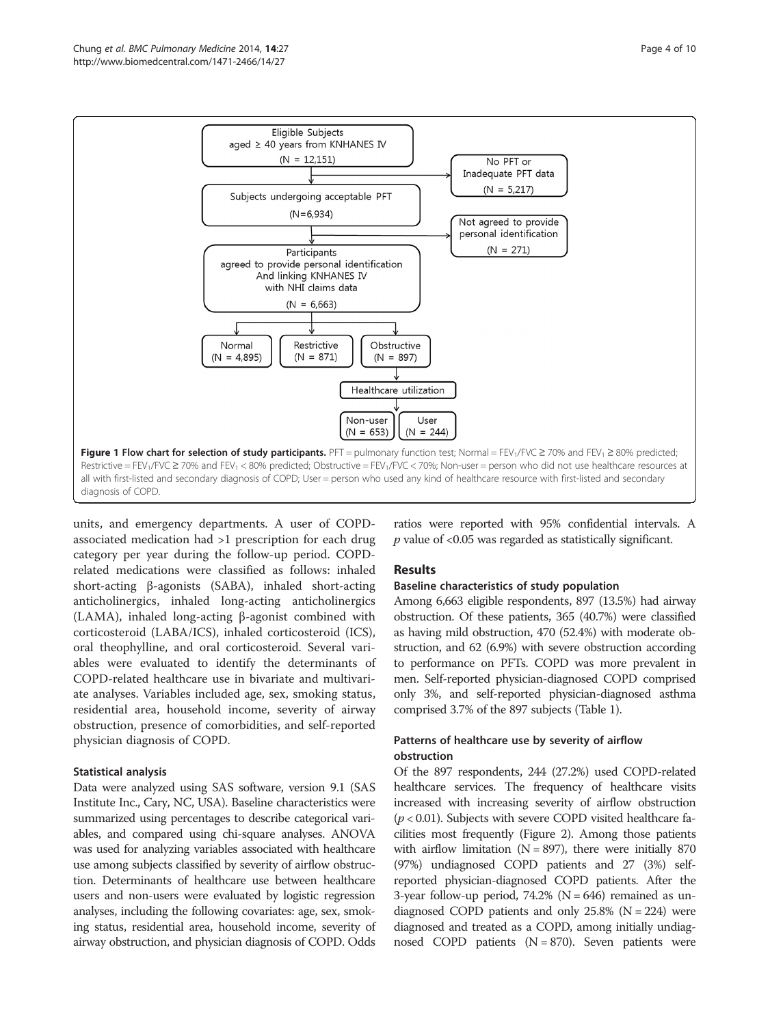<span id="page-3-0"></span>

units, and emergency departments. A user of COPDassociated medication had >1 prescription for each drug category per year during the follow-up period. COPDrelated medications were classified as follows: inhaled short-acting β-agonists (SABA), inhaled short-acting anticholinergics, inhaled long-acting anticholinergics (LAMA), inhaled long-acting β-agonist combined with corticosteroid (LABA/ICS), inhaled corticosteroid (ICS), oral theophylline, and oral corticosteroid. Several variables were evaluated to identify the determinants of COPD-related healthcare use in bivariate and multivariate analyses. Variables included age, sex, smoking status, residential area, household income, severity of airway obstruction, presence of comorbidities, and self-reported physician diagnosis of COPD.

## Statistical analysis

Data were analyzed using SAS software, version 9.1 (SAS Institute Inc., Cary, NC, USA). Baseline characteristics were summarized using percentages to describe categorical variables, and compared using chi-square analyses. ANOVA was used for analyzing variables associated with healthcare use among subjects classified by severity of airflow obstruction. Determinants of healthcare use between healthcare users and non-users were evaluated by logistic regression analyses, including the following covariates: age, sex, smoking status, residential area, household income, severity of airway obstruction, and physician diagnosis of COPD. Odds

ratios were reported with 95% confidential intervals. A  $p$  value of <0.05 was regarded as statistically significant.

## **Results**

## Baseline characteristics of study population

Among 6,663 eligible respondents, 897 (13.5%) had airway obstruction. Of these patients, 365 (40.7%) were classified as having mild obstruction, 470 (52.4%) with moderate obstruction, and 62 (6.9%) with severe obstruction according to performance on PFTs. COPD was more prevalent in men. Self-reported physician-diagnosed COPD comprised only 3%, and self-reported physician-diagnosed asthma comprised 3.7% of the 897 subjects (Table [1](#page-2-0)).

## Patterns of healthcare use by severity of airflow obstruction

Of the 897 respondents, 244 (27.2%) used COPD-related healthcare services. The frequency of healthcare visits increased with increasing severity of airflow obstruction  $(p < 0.01)$ . Subjects with severe COPD visited healthcare facilities most frequently (Figure [2\)](#page-4-0). Among those patients with airflow limitation ( $N = 897$ ), there were initially 870 (97%) undiagnosed COPD patients and 27 (3%) selfreported physician-diagnosed COPD patients. After the 3-year follow-up period,  $74.2\%$  (N = 646) remained as undiagnosed COPD patients and only  $25.8\%$  (N = 224) were diagnosed and treated as a COPD, among initially undiagnosed COPD patients  $(N = 870)$ . Seven patients were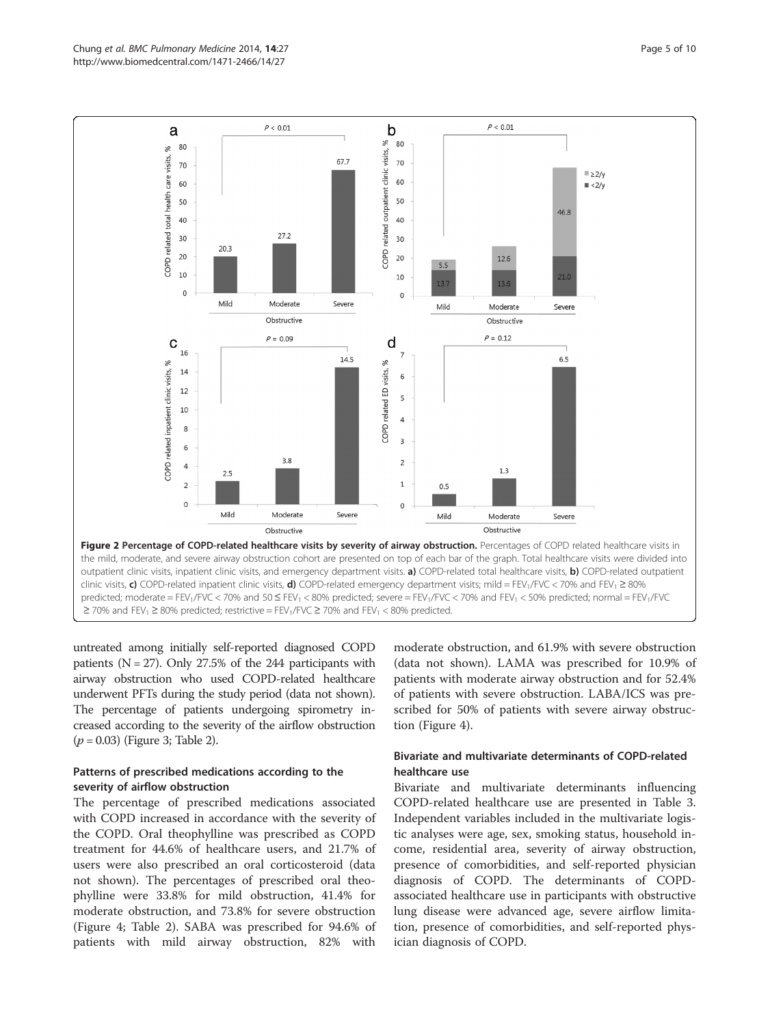untreated among initially self-reported diagnosed COPD patients ( $N = 27$ ). Only 27.5% of the 244 participants with airway obstruction who used COPD-related healthcare underwent PFTs during the study period (data not shown). The percentage of patients undergoing spirometry increased according to the severity of the airflow obstruction  $(p = 0.03)$  (Figure [3;](#page-5-0) Table [2\)](#page-5-0).

## Patterns of prescribed medications according to the severity of airflow obstruction

The percentage of prescribed medications associated with COPD increased in accordance with the severity of the COPD. Oral theophylline was prescribed as COPD treatment for 44.6% of healthcare users, and 21.7% of users were also prescribed an oral corticosteroid (data not shown). The percentages of prescribed oral theophylline were 33.8% for mild obstruction, 41.4% for moderate obstruction, and 73.8% for severe obstruction (Figure [4;](#page-6-0) Table [2\)](#page-5-0). SABA was prescribed for 94.6% of patients with mild airway obstruction, 82% with

moderate obstruction, and 61.9% with severe obstruction (data not shown). LAMA was prescribed for 10.9% of patients with moderate airway obstruction and for 52.4% of patients with severe obstruction. LABA/ICS was prescribed for 50% of patients with severe airway obstruction (Figure [4\)](#page-6-0).

## Bivariate and multivariate determinants of COPD-related healthcare use

Bivariate and multivariate determinants influencing COPD-related healthcare use are presented in Table [3](#page-7-0). Independent variables included in the multivariate logistic analyses were age, sex, smoking status, household income, residential area, severity of airway obstruction, presence of comorbidities, and self-reported physician diagnosis of COPD. The determinants of COPDassociated healthcare use in participants with obstructive lung disease were advanced age, severe airflow limitation, presence of comorbidities, and self-reported physician diagnosis of COPD.

<span id="page-4-0"></span>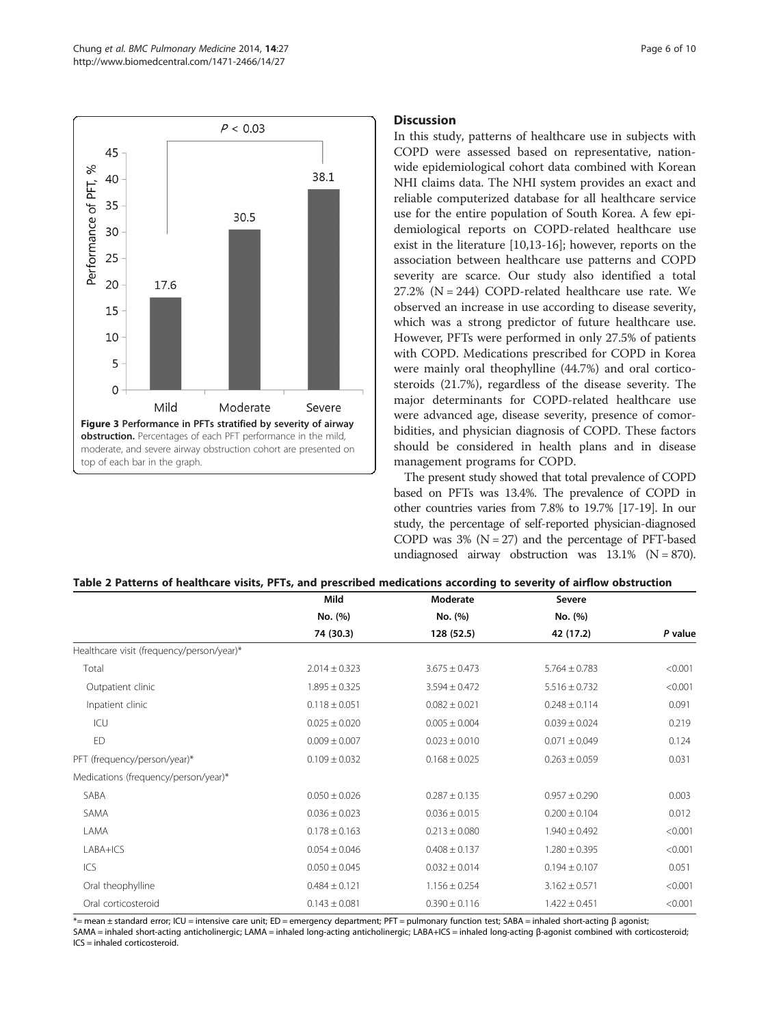<span id="page-5-0"></span>

## **Discussion**

In this study, patterns of healthcare use in subjects with COPD were assessed based on representative, nationwide epidemiological cohort data combined with Korean NHI claims data. The NHI system provides an exact and reliable computerized database for all healthcare service use for the entire population of South Korea. A few epidemiological reports on COPD-related healthcare use exist in the literature [\[10,13-](#page-8-0)[16](#page-9-0)]; however, reports on the association between healthcare use patterns and COPD severity are scarce. Our study also identified a total  $27.2\%$  (N = 244) COPD-related healthcare use rate. We observed an increase in use according to disease severity, which was a strong predictor of future healthcare use. However, PFTs were performed in only 27.5% of patients with COPD. Medications prescribed for COPD in Korea were mainly oral theophylline (44.7%) and oral corticosteroids (21.7%), regardless of the disease severity. The major determinants for COPD-related healthcare use were advanced age, disease severity, presence of comorbidities, and physician diagnosis of COPD. These factors should be considered in health plans and in disease management programs for COPD.

The present study showed that total prevalence of COPD based on PFTs was 13.4%. The prevalence of COPD in other countries varies from 7.8% to 19.7% [[17-19\]](#page-9-0). In our study, the percentage of self-reported physician-diagnosed COPD was  $3\%$  (N = 27) and the percentage of PFT-based undiagnosed airway obstruction was  $13.1\%$  (N = 870).

| Table 2 Patterns of healthcare visits, PFTs, and prescribed medications according to severity of airflow obstruction |  |  |  |
|----------------------------------------------------------------------------------------------------------------------|--|--|--|
|----------------------------------------------------------------------------------------------------------------------|--|--|--|

|                                           | Mild              | Moderate          | Severe            |         |
|-------------------------------------------|-------------------|-------------------|-------------------|---------|
|                                           | No. (%)           | No. (%)           | No. (%)           |         |
|                                           | 74 (30.3)         | 128 (52.5)        | 42 (17.2)         | P value |
| Healthcare visit (frequency/person/year)* |                   |                   |                   |         |
| Total                                     | $2.014 \pm 0.323$ | $3.675 \pm 0.473$ | $5.764 \pm 0.783$ | < 0.001 |
| Outpatient clinic                         | $1.895 \pm 0.325$ | $3.594 \pm 0.472$ | $5.516 \pm 0.732$ | < 0.001 |
| Inpatient clinic                          | $0.118 \pm 0.051$ | $0.082 \pm 0.021$ | $0.248 \pm 0.114$ | 0.091   |
| ICU                                       | $0.025 \pm 0.020$ | $0.005 \pm 0.004$ | $0.039 \pm 0.024$ | 0.219   |
| ED                                        | $0.009 \pm 0.007$ | $0.023 \pm 0.010$ | $0.071 \pm 0.049$ | 0.124   |
| PFT (frequency/person/year)*              | $0.109 \pm 0.032$ | $0.168 \pm 0.025$ | $0.263 \pm 0.059$ | 0.031   |
| Medications (frequency/person/year)*      |                   |                   |                   |         |
| SABA                                      | $0.050 \pm 0.026$ | $0.287 \pm 0.135$ | $0.957 \pm 0.290$ | 0.003   |
| SAMA                                      | $0.036 \pm 0.023$ | $0.036 \pm 0.015$ | $0.200 \pm 0.104$ | 0.012   |
| LAMA                                      | $0.178 \pm 0.163$ | $0.213 \pm 0.080$ | $1.940 \pm 0.492$ | < 0.001 |
| LABA+ICS                                  | $0.054 \pm 0.046$ | $0.408 \pm 0.137$ | $1.280 \pm 0.395$ | < 0.001 |
| ICS                                       | $0.050 \pm 0.045$ | $0.032 \pm 0.014$ | $0.194 \pm 0.107$ | 0.051   |
| Oral theophylline                         | $0.484 \pm 0.121$ | $1.156 \pm 0.254$ | $3.162 \pm 0.571$ | < 0.001 |
| Oral corticosteroid                       | $0.143 \pm 0.081$ | $0.390 \pm 0.116$ | $1.422 \pm 0.451$ | < 0.001 |

\*= mean ± standard error; ICU = intensive care unit; ED = emergency department; PFT = pulmonary function test; SABA = inhaled short-acting β agonist; SAMA = inhaled short-acting anticholinergic; LAMA = inhaled long-acting anticholinergic; LABA+ICS = inhaled long-acting β-agonist combined with corticosteroid; ICS = inhaled corticosteroid.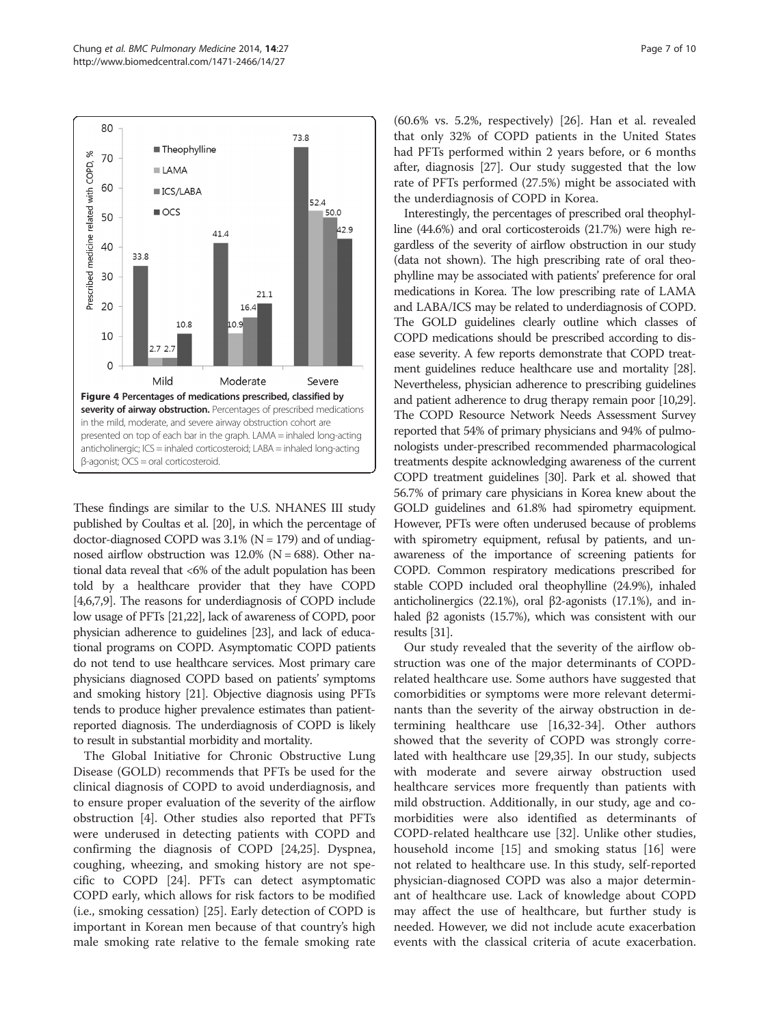<span id="page-6-0"></span>

These findings are similar to the U.S. NHANES III study published by Coultas et al. [\[20\]](#page-9-0), in which the percentage of doctor-diagnosed COPD was  $3.1\%$  (N = 179) and of undiagnosed airflow obstruction was  $12.0\%$  (N = 688). Other national data reveal that <6% of the adult population has been told by a healthcare provider that they have COPD [[4,6,7,9](#page-8-0)]. The reasons for underdiagnosis of COPD include low usage of PFTs [[21,22\]](#page-9-0), lack of awareness of COPD, poor physician adherence to guidelines [[23\]](#page-9-0), and lack of educational programs on COPD. Asymptomatic COPD patients do not tend to use healthcare services. Most primary care physicians diagnosed COPD based on patients' symptoms and smoking history [\[21\]](#page-9-0). Objective diagnosis using PFTs tends to produce higher prevalence estimates than patientreported diagnosis. The underdiagnosis of COPD is likely to result in substantial morbidity and mortality.

The Global Initiative for Chronic Obstructive Lung Disease (GOLD) recommends that PFTs be used for the clinical diagnosis of COPD to avoid underdiagnosis, and to ensure proper evaluation of the severity of the airflow obstruction [[4\]](#page-8-0). Other studies also reported that PFTs were underused in detecting patients with COPD and confirming the diagnosis of COPD [\[24,25](#page-9-0)]. Dyspnea, coughing, wheezing, and smoking history are not specific to COPD [\[24\]](#page-9-0). PFTs can detect asymptomatic COPD early, which allows for risk factors to be modified (i.e., smoking cessation) [\[25](#page-9-0)]. Early detection of COPD is important in Korean men because of that country's high male smoking rate relative to the female smoking rate

(60.6% vs. 5.2%, respectively) [\[26](#page-9-0)]. Han et al. revealed that only 32% of COPD patients in the United States had PFTs performed within 2 years before, or 6 months after, diagnosis [[27](#page-9-0)]. Our study suggested that the low rate of PFTs performed (27.5%) might be associated with the underdiagnosis of COPD in Korea.

Interestingly, the percentages of prescribed oral theophylline (44.6%) and oral corticosteroids (21.7%) were high regardless of the severity of airflow obstruction in our study (data not shown). The high prescribing rate of oral theophylline may be associated with patients' preference for oral medications in Korea. The low prescribing rate of LAMA and LABA/ICS may be related to underdiagnosis of COPD. The GOLD guidelines clearly outline which classes of COPD medications should be prescribed according to disease severity. A few reports demonstrate that COPD treatment guidelines reduce healthcare use and mortality [\[28](#page-9-0)]. Nevertheless, physician adherence to prescribing guidelines and patient adherence to drug therapy remain poor [[10](#page-8-0)[,29](#page-9-0)]. The COPD Resource Network Needs Assessment Survey reported that 54% of primary physicians and 94% of pulmonologists under-prescribed recommended pharmacological treatments despite acknowledging awareness of the current COPD treatment guidelines [\[30\]](#page-9-0). Park et al. showed that 56.7% of primary care physicians in Korea knew about the GOLD guidelines and 61.8% had spirometry equipment. However, PFTs were often underused because of problems with spirometry equipment, refusal by patients, and unawareness of the importance of screening patients for COPD. Common respiratory medications prescribed for stable COPD included oral theophylline (24.9%), inhaled anticholinergics (22.1%), oral β2-agonists (17.1%), and inhaled β2 agonists (15.7%), which was consistent with our results [[31](#page-9-0)].

Our study revealed that the severity of the airflow obstruction was one of the major determinants of COPDrelated healthcare use. Some authors have suggested that comorbidities or symptoms were more relevant determinants than the severity of the airway obstruction in determining healthcare use [\[16,32-34](#page-9-0)]. Other authors showed that the severity of COPD was strongly correlated with healthcare use [[29,35](#page-9-0)]. In our study, subjects with moderate and severe airway obstruction used healthcare services more frequently than patients with mild obstruction. Additionally, in our study, age and comorbidities were also identified as determinants of COPD-related healthcare use [\[32\]](#page-9-0). Unlike other studies, household income [[15](#page-9-0)] and smoking status [[16\]](#page-9-0) were not related to healthcare use. In this study, self-reported physician-diagnosed COPD was also a major determinant of healthcare use. Lack of knowledge about COPD may affect the use of healthcare, but further study is needed. However, we did not include acute exacerbation events with the classical criteria of acute exacerbation.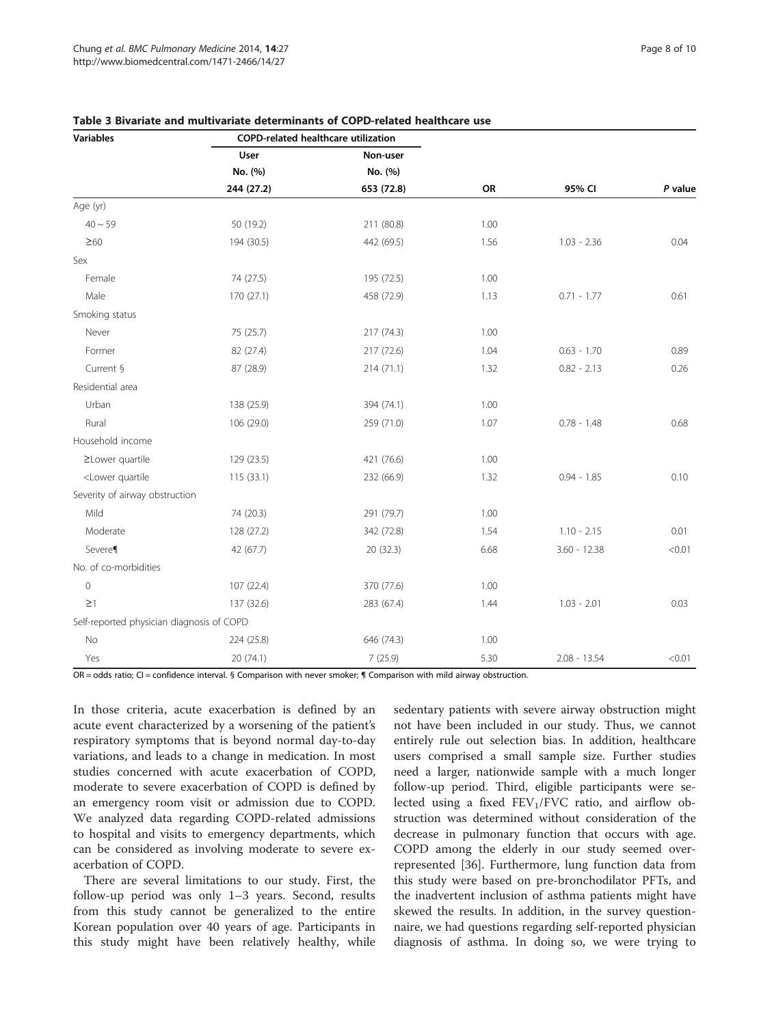| <b>Variables</b>                                                                                                                   |            | <b>COPD-related healthcare utilization</b> |      |                |         |
|------------------------------------------------------------------------------------------------------------------------------------|------------|--------------------------------------------|------|----------------|---------|
|                                                                                                                                    | User       | Non-user                                   |      |                |         |
|                                                                                                                                    | No. (%)    | No. (%)                                    |      |                |         |
|                                                                                                                                    | 244 (27.2) | 653 (72.8)                                 | OR   | 95% CI         | P value |
| Age (yr)                                                                                                                           |            |                                            |      |                |         |
| $40 \sim 59$                                                                                                                       | 50 (19.2)  | 211 (80.8)                                 | 1.00 |                |         |
| $\geq 60$                                                                                                                          | 194 (30.5) | 442 (69.5)                                 | 1.56 | $1.03 - 2.36$  | 0.04    |
| Sex                                                                                                                                |            |                                            |      |                |         |
| Female                                                                                                                             | 74 (27.5)  | 195 (72.5)                                 | 1.00 |                |         |
| Male                                                                                                                               | 170 (27.1) | 458 (72.9)                                 | 1.13 | $0.71 - 1.77$  | 0.61    |
| Smoking status                                                                                                                     |            |                                            |      |                |         |
| Never                                                                                                                              | 75 (25.7)  | 217 (74.3)                                 | 1.00 |                |         |
| Former                                                                                                                             | 82 (27.4)  | 217 (72.6)                                 | 1.04 | $0.63 - 1.70$  | 0.89    |
| Current §                                                                                                                          | 87 (28.9)  | 214(71.1)                                  | 1.32 | $0.82 - 2.13$  | 0.26    |
| Residential area                                                                                                                   |            |                                            |      |                |         |
| Urban                                                                                                                              | 138 (25.9) | 394 (74.1)                                 | 1.00 |                |         |
| Rural                                                                                                                              | 106 (29.0) | 259 (71.0)                                 | 1.07 | $0.78 - 1.48$  | 0.68    |
| Household income                                                                                                                   |            |                                            |      |                |         |
| ≥Lower quartile                                                                                                                    | 129 (23.5) | 421 (76.6)                                 | 1.00 |                |         |
| <lower quartile<="" td=""><td>115(33.1)</td><td>232 (66.9)</td><td>1.32</td><td><math>0.94 - 1.85</math></td><td>0.10</td></lower> | 115(33.1)  | 232 (66.9)                                 | 1.32 | $0.94 - 1.85$  | 0.10    |
| Severity of airway obstruction                                                                                                     |            |                                            |      |                |         |
| Mild                                                                                                                               | 74 (20.3)  | 291 (79.7)                                 | 1.00 |                |         |
| Moderate                                                                                                                           | 128 (27.2) | 342 (72.8)                                 | 1.54 | $1.10 - 2.15$  | 0.01    |
| Severe                                                                                                                             | 42 (67.7)  | 20(32.3)                                   | 6.68 | $3.60 - 12.38$ | < 0.01  |
| No. of co-morbidities                                                                                                              |            |                                            |      |                |         |
| $\mathbf 0$                                                                                                                        | 107 (22.4) | 370 (77.6)                                 | 1.00 |                |         |
| $\geq$ 1                                                                                                                           | 137 (32.6) | 283 (67.4)                                 | 1.44 | $1.03 - 2.01$  | 0.03    |
| Self-reported physician diagnosis of COPD                                                                                          |            |                                            |      |                |         |
| No                                                                                                                                 | 224 (25.8) | 646 (74.3)                                 | 1.00 |                |         |
| Yes                                                                                                                                | 20 (74.1)  | 7(25.9)                                    | 5.30 | $2.08 - 13.54$ | < 0.01  |

<span id="page-7-0"></span>

| Table 3 Bivariate and multivariate determinants of COPD-related healthcare use |  |
|--------------------------------------------------------------------------------|--|
|--------------------------------------------------------------------------------|--|

OR = odds ratio; CI = confidence interval. § Comparison with never smoker; ¶ Comparison with mild airway obstruction.

In those criteria, acute exacerbation is defined by an acute event characterized by a worsening of the patient's respiratory symptoms that is beyond normal day-to-day variations, and leads to a change in medication. In most studies concerned with acute exacerbation of COPD, moderate to severe exacerbation of COPD is defined by an emergency room visit or admission due to COPD. We analyzed data regarding COPD-related admissions to hospital and visits to emergency departments, which can be considered as involving moderate to severe exacerbation of COPD.

There are several limitations to our study. First, the follow-up period was only 1–3 years. Second, results from this study cannot be generalized to the entire Korean population over 40 years of age. Participants in this study might have been relatively healthy, while sedentary patients with severe airway obstruction might not have been included in our study. Thus, we cannot entirely rule out selection bias. In addition, healthcare users comprised a small sample size. Further studies need a larger, nationwide sample with a much longer follow-up period. Third, eligible participants were selected using a fixed  $FEV<sub>1</sub>/FVC$  ratio, and airflow obstruction was determined without consideration of the decrease in pulmonary function that occurs with age. COPD among the elderly in our study seemed overrepresented [[36\]](#page-9-0). Furthermore, lung function data from this study were based on pre-bronchodilator PFTs, and the inadvertent inclusion of asthma patients might have skewed the results. In addition, in the survey questionnaire, we had questions regarding self-reported physician diagnosis of asthma. In doing so, we were trying to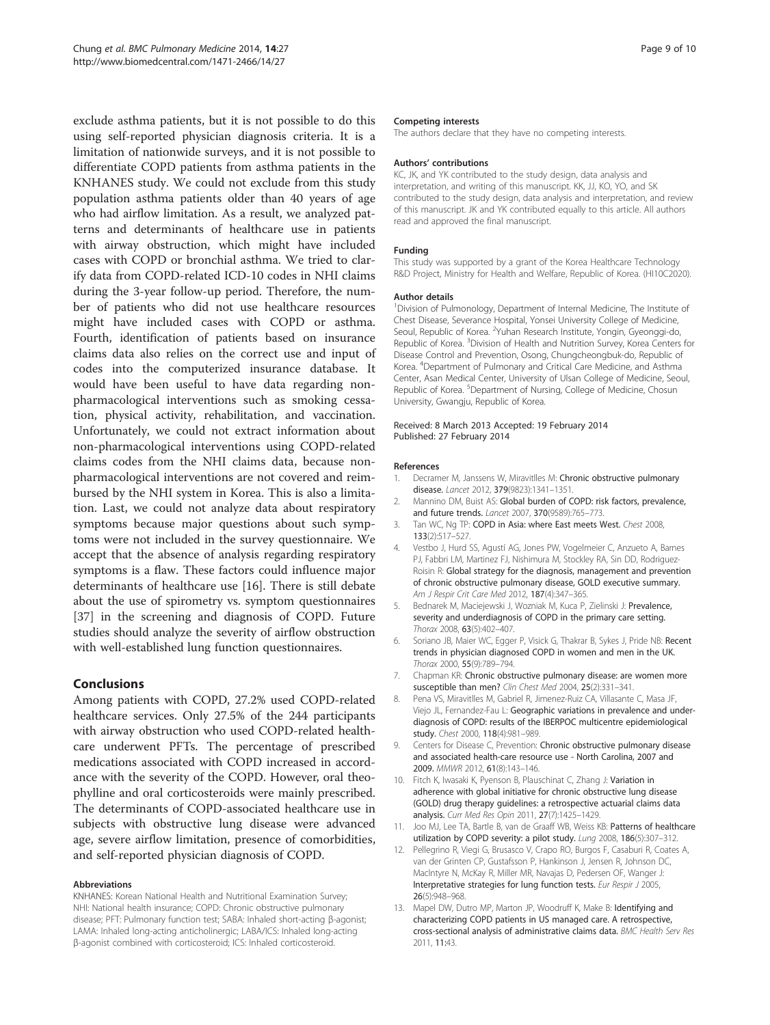<span id="page-8-0"></span>exclude asthma patients, but it is not possible to do this using self-reported physician diagnosis criteria. It is a limitation of nationwide surveys, and it is not possible to differentiate COPD patients from asthma patients in the KNHANES study. We could not exclude from this study population asthma patients older than 40 years of age who had airflow limitation. As a result, we analyzed patterns and determinants of healthcare use in patients with airway obstruction, which might have included cases with COPD or bronchial asthma. We tried to clarify data from COPD-related ICD-10 codes in NHI claims during the 3-year follow-up period. Therefore, the number of patients who did not use healthcare resources might have included cases with COPD or asthma. Fourth, identification of patients based on insurance claims data also relies on the correct use and input of codes into the computerized insurance database. It would have been useful to have data regarding nonpharmacological interventions such as smoking cessation, physical activity, rehabilitation, and vaccination. Unfortunately, we could not extract information about non-pharmacological interventions using COPD-related claims codes from the NHI claims data, because nonpharmacological interventions are not covered and reimbursed by the NHI system in Korea. This is also a limitation. Last, we could not analyze data about respiratory symptoms because major questions about such symptoms were not included in the survey questionnaire. We accept that the absence of analysis regarding respiratory symptoms is a flaw. These factors could influence major determinants of healthcare use [\[16](#page-9-0)]. There is still debate about the use of spirometry vs. symptom questionnaires [[37\]](#page-9-0) in the screening and diagnosis of COPD. Future studies should analyze the severity of airflow obstruction with well-established lung function questionnaires.

## Conclusions

Among patients with COPD, 27.2% used COPD-related healthcare services. Only 27.5% of the 244 participants with airway obstruction who used COPD-related healthcare underwent PFTs. The percentage of prescribed medications associated with COPD increased in accordance with the severity of the COPD. However, oral theophylline and oral corticosteroids were mainly prescribed. The determinants of COPD-associated healthcare use in subjects with obstructive lung disease were advanced age, severe airflow limitation, presence of comorbidities, and self-reported physician diagnosis of COPD.

## Abbreviations

KNHANES: Korean National Health and Nutritional Examination Survey; NHI: National health insurance; COPD: Chronic obstructive pulmonary disease; PFT: Pulmonary function test; SABA: Inhaled short-acting β-agonist; LAMA: Inhaled long-acting anticholinergic; LABA/ICS: Inhaled long-acting β-agonist combined with corticosteroid; ICS: Inhaled corticosteroid.

#### Competing interests

The authors declare that they have no competing interests.

#### Authors' contributions

KC, JK, and YK contributed to the study design, data analysis and interpretation, and writing of this manuscript. KK, JJ, KO, YO, and SK contributed to the study design, data analysis and interpretation, and review of this manuscript. JK and YK contributed equally to this article. All authors read and approved the final manuscript.

#### Funding

This study was supported by a grant of the Korea Healthcare Technology R&D Project, Ministry for Health and Welfare, Republic of Korea. (HI10C2020).

#### Author details

<sup>1</sup> Division of Pulmonology, Department of Internal Medicine, The Institute of Chest Disease, Severance Hospital, Yonsei University College of Medicine, Seoul, Republic of Korea. <sup>2</sup>Yuhan Research Institute, Yongin, Gyeonggi-do, Republic of Korea. <sup>3</sup> Division of Health and Nutrition Survey, Korea Centers for Disease Control and Prevention, Osong, Chungcheongbuk-do, Republic of Korea. <sup>4</sup> Department of Pulmonary and Critical Care Medicine, and Asthma Center, Asan Medical Center, University of Ulsan College of Medicine, Seoul, Republic of Korea. <sup>5</sup>Department of Nursing, College of Medicine, Chosun University, Gwangju, Republic of Korea.

#### Received: 8 March 2013 Accepted: 19 February 2014 Published: 27 February 2014

#### References

- 1. Decramer M, Janssens W, Miravitlles M: Chronic obstructive pulmonary disease. Lancet 2012, 379(9823):1341–1351.
- 2. Mannino DM, Buist AS: Global burden of COPD: risk factors, prevalence, and future trends. Lancet 2007, 370(9589):765–773.
- 3. Tan WC, Ng TP: COPD in Asia: where East meets West. Chest 2008, 133(2):517–527.
- 4. Vestbo J, Hurd SS, Agustí AG, Jones PW, Vogelmeier C, Anzueto A, Barnes PJ, Fabbri LM, Martinez FJ, Nishimura M, Stockley RA, Sin DD, Rodriguez-Roisin R: Global strategy for the diagnosis, management and prevention of chronic obstructive pulmonary disease, GOLD executive summary. Am J Respir Crit Care Med 2012, 187(4):347–365.
- 5. Bednarek M, Maciejewski J, Wozniak M, Kuca P, Zielinski J: Prevalence, severity and underdiagnosis of COPD in the primary care setting. Thorax 2008, 63(5):402-407.
- 6. Soriano JB, Maier WC, Egger P, Visick G, Thakrar B, Sykes J, Pride NB: Recent trends in physician diagnosed COPD in women and men in the UK. Thorax 2000, 55(9):789–794.
- 7. Chapman KR: Chronic obstructive pulmonary disease: are women more susceptible than men? Clin Chest Med 2004, 25(2):331–341.
- 8. Pena VS, Miravitlles M, Gabriel R, Jimenez-Ruiz CA, Villasante C, Masa JF, Viejo JL, Fernandez-Fau L: Geographic variations in prevalence and underdiagnosis of COPD: results of the IBERPOC multicentre epidemiological study. Chest 2000, 118(4):981–989.
- 9. Centers for Disease C, Prevention: Chronic obstructive pulmonary disease and associated health-care resource use - North Carolina, 2007 and 2009. MMWR 2012, 61(8):143–146.
- 10. Fitch K, Iwasaki K, Pyenson B, Plauschinat C, Zhang J: Variation in adherence with global initiative for chronic obstructive lung disease (GOLD) drug therapy guidelines: a retrospective actuarial claims data analysis. Curr Med Res Opin 2011, 27(7):1425–1429.
- 11. Joo MJ, Lee TA, Bartle B, van de Graaff WB, Weiss KB: Patterns of healthcare utilization by COPD severity: a pilot study. Lung 2008, 186(5):307–312.
- 12. Pellegrino R, Viegi G, Brusasco V, Crapo RO, Burgos F, Casaburi R, Coates A, van der Grinten CP, Gustafsson P, Hankinson J, Jensen R, Johnson DC, Maclntyre N, McKay R, Miller MR, Navajas D, Pedersen OF, Wanger J: Interpretative strategies for lung function tests. Eur Respir J 2005, 26(5):948–968.
- 13. Mapel DW, Dutro MP, Marton JP, Woodruff K, Make B: Identifying and characterizing COPD patients in US managed care. A retrospective, cross-sectional analysis of administrative claims data. BMC Health Serv Res 2011, 11:43.